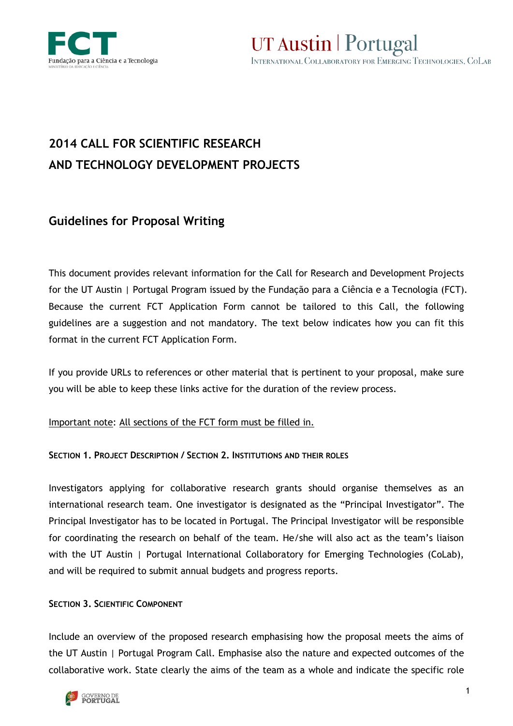

UT Austin | Portugal INTERNATIONAL COLLABORATORY FOR EMERGING TECHNOLOGIES, COLAB

# **2014 CALL FOR SCIENTIFIC RESEARCH AND TECHNOLOGY DEVELOPMENT PROJECTS**

## **Guidelines for Proposal Writing**

This document provides relevant information for the Call for Research and Development Projects for the UT Austin | Portugal Program issued by the Fundação para a Ciência e a Tecnologia (FCT). Because the current FCT Application Form cannot be tailored to this Call, the following guidelines are a suggestion and not mandatory. The text below indicates how you can fit this format in the current FCT Application Form.

If you provide URLs to references or other material that is pertinent to your proposal, make sure you will be able to keep these links active for the duration of the review process.

Important note: All sections of the FCT form must be filled in.

## **SECTION 1. PROJECT DESCRIPTION / SECTION 2. INSTITUTIONS AND THEIR ROLES**

Investigators applying for collaborative research grants should organise themselves as an international research team. One investigator is designated as the "Principal Investigator". The Principal Investigator has to be located in Portugal. The Principal Investigator will be responsible for coordinating the research on behalf of the team. He/she will also act as the team's liaison with the UT Austin | Portugal International Collaboratory for Emerging Technologies (CoLab), and will be required to submit annual budgets and progress reports.

## **SECTION 3. SCIENTIFIC COMPONENT**

Include an overview of the proposed research emphasising how the proposal meets the aims of the UT Austin | Portugal Program Call. Emphasise also the nature and expected outcomes of the collaborative work. State clearly the aims of the team as a whole and indicate the specific role

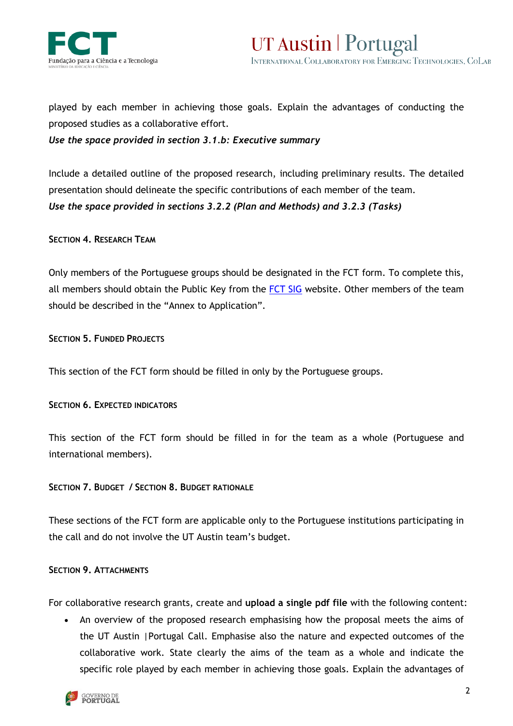



played by each member in achieving those goals. Explain the advantages of conducting the proposed studies as a collaborative effort.

*Use the space provided in section 3.1.b: Executive summary*

Include a detailed outline of the proposed research, including preliminary results. The detailed presentation should delineate the specific contributions of each member of the team. *Use the space provided in sections 3.2.2 (Plan and Methods) and 3.2.3 (Tasks)*

### **SECTION 4. RESEARCH TEAM**

Only members of the Portuguese groups should be designated in the FCT form. To complete this, all members should obtain the Public Key from the [FCT SIG](http://www.fct.pt/fctsig) website. Other members of the team should be described in the "Annex to Application".

**SECTION 5. FUNDED PROJECTS**

This section of the FCT form should be filled in only by the Portuguese groups.

**SECTION 6. EXPECTED INDICATORS**

This section of the FCT form should be filled in for the team as a whole (Portuguese and international members).

### **SECTION 7. BUDGET / SECTION 8. BUDGET RATIONALE**

These sections of the FCT form are applicable only to the Portuguese institutions participating in the call and do not involve the UT Austin team's budget.

### **SECTION 9. ATTACHMENTS**

For collaborative research grants, create and **upload a single pdf file** with the following content:

 An overview of the proposed research emphasising how the proposal meets the aims of the UT Austin |Portugal Call. Emphasise also the nature and expected outcomes of the collaborative work. State clearly the aims of the team as a whole and indicate the specific role played by each member in achieving those goals. Explain the advantages of